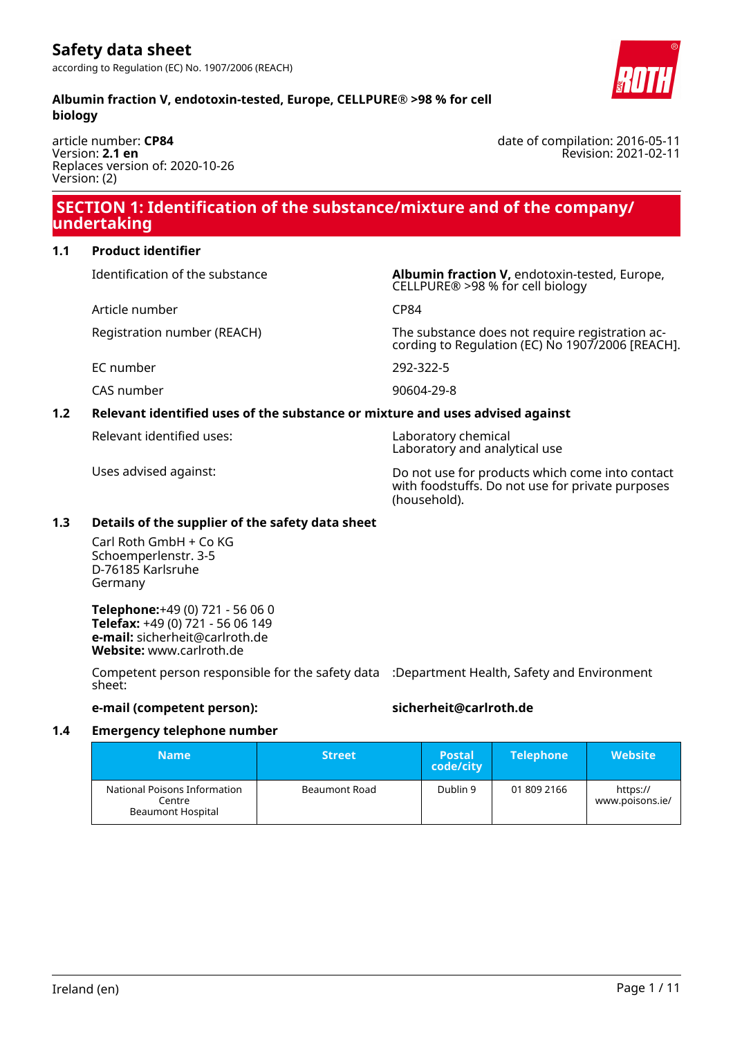**Albumin fraction V, endotoxin-tested, Europe, CELLPURE® >98 % for cell biology**

article number: **CP84** Version: **2.1 en** Replaces version of: 2020-10-26 Version: (2)

# **SECTION 1: Identification of the substance/mixture and of the company/ undertaking**

# **1.1 Product identifier**

Article number CP84

Identification of the substance **Albumin fraction V,** endotoxin-tested, Europe, CELLPURE® >98 % for cell biology

Registration number (REACH) The substance does not require registration according to Regulation (EC) No 1907/2006 [REACH].

EC number 292-322-5

CAS number 90604-29-8

# **1.2 Relevant identified uses of the substance or mixture and uses advised against**

Relevant identified uses: Laboratory chemical

Laboratory and analytical use

Uses advised against: Do not use for products which come into contact with foodstuffs. Do not use for private purposes (household).

# **1.3 Details of the supplier of the safety data sheet**

Carl Roth GmbH + Co KG Schoemperlenstr. 3-5 D-76185 Karlsruhe Germany

**Telephone:**+49 (0) 721 - 56 06 0 **Telefax:** +49 (0) 721 - 56 06 149 **e-mail:** sicherheit@carlroth.de **Website:** www.carlroth.de

Competent person responsible for the safety data :Department Health, Safety and Environment sheet:

**e-mail (competent person): sicherheit@carlroth.de**

# **1.4 Emergency telephone number**

| <b>Name</b>                                                 | <b>Street</b> | <b>Postal</b><br>code/city | <b>Telephone</b> | <b>Website</b>              |
|-------------------------------------------------------------|---------------|----------------------------|------------------|-----------------------------|
| National Poisons Information<br>Centre<br>Beaumont Hospital | Beaumont Road | Dublin 9                   | 01 809 2166      | https://<br>www.poisons.ie/ |

date of compilation: 2016-05-11 Revision: 2021-02-11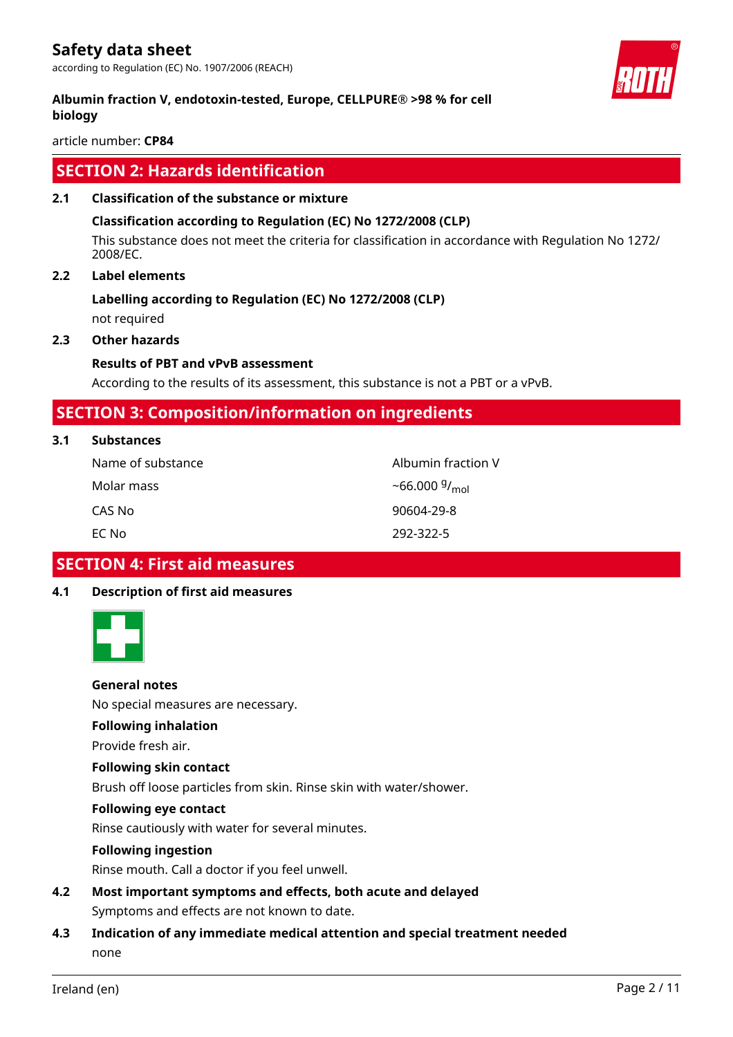according to Regulation (EC) No. 1907/2006 (REACH)

# **Albumin fraction V, endotoxin-tested, Europe, CELLPURE® >98 % for cell biology**

article number: **CP84**

# **SECTION 2: Hazards identification**

# **2.1 Classification of the substance or mixture**

# **Classification according to Regulation (EC) No 1272/2008 (CLP)**

This substance does not meet the criteria for classification in accordance with Regulation No 1272/ 2008/EC.

# **2.2 Label elements**

# **Labelling according to Regulation (EC) No 1272/2008 (CLP)**

not required

# **2.3 Other hazards**

# **Results of PBT and vPvB assessment**

According to the results of its assessment, this substance is not a PBT or a vPvB.

# **SECTION 3: Composition/information on ingredients**

| 3.1<br><b>Substances</b> |  |
|--------------------------|--|
|--------------------------|--|

| Name of substance | Albumin fraction V |
|-------------------|--------------------|
| Molar mass        | $~56.000~9/_{mol}$ |
| CAS No            | 90604-29-8         |
| EC Nol            | 292-322-5          |

# **SECTION 4: First aid measures**

# **4.1 Description of first aid measures**



# **General notes**

No special measures are necessary.

# **Following inhalation**

Provide fresh air.

# **Following skin contact**

Brush off loose particles from skin. Rinse skin with water/shower.

# **Following eye contact**

Rinse cautiously with water for several minutes.

# **Following ingestion**

Rinse mouth. Call a doctor if you feel unwell.

- **4.2 Most important symptoms and effects, both acute and delayed** Symptoms and effects are not known to date.
- **4.3 Indication of any immediate medical attention and special treatment needed** none

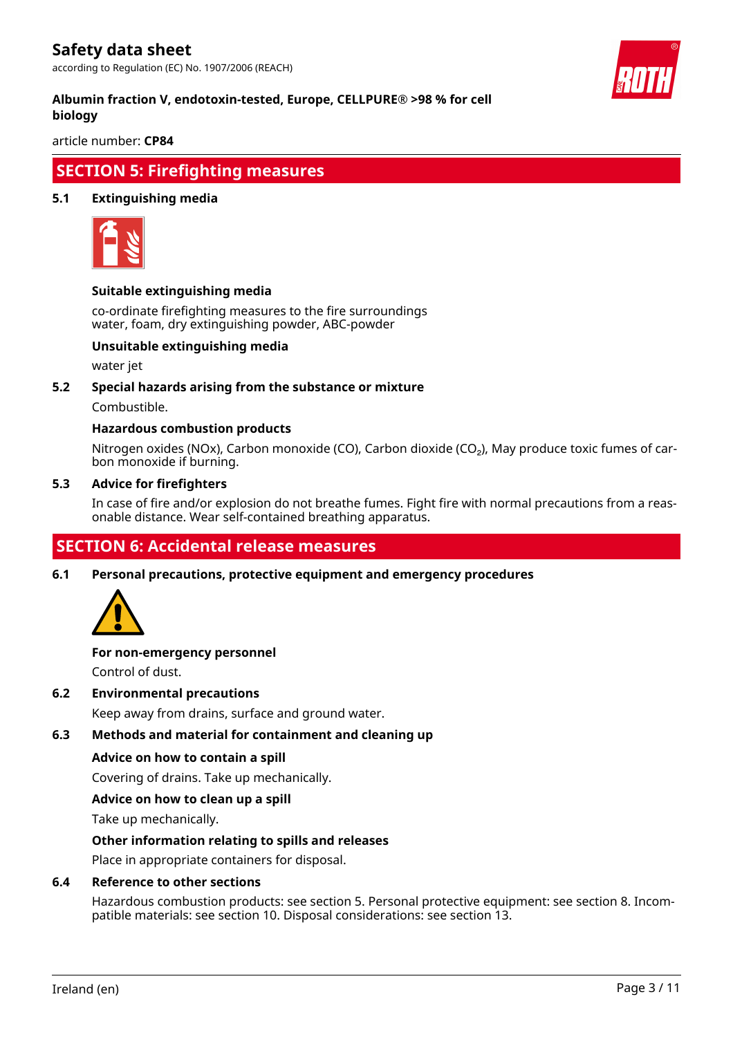according to Regulation (EC) No. 1907/2006 (REACH)



# **Albumin fraction V, endotoxin-tested, Europe, CELLPURE® >98 % for cell biology**

article number: **CP84**

# **SECTION 5: Firefighting measures**

# **5.1 Extinguishing media**



# **Suitable extinguishing media**

co-ordinate firefighting measures to the fire surroundings water, foam, dry extinguishing powder, ABC-powder

# **Unsuitable extinguishing media**

water jet

# **5.2 Special hazards arising from the substance or mixture**

Combustible.

# **Hazardous combustion products**

Nitrogen oxides (NOx), Carbon monoxide (CO), Carbon dioxide (CO₂), May produce toxic fumes of carbon monoxide if burning.

#### **5.3 Advice for firefighters**

In case of fire and/or explosion do not breathe fumes. Fight fire with normal precautions from a reasonable distance. Wear self-contained breathing apparatus.

# **SECTION 6: Accidental release measures**

**6.1 Personal precautions, protective equipment and emergency procedures**



# **For non-emergency personnel**

Control of dust.

# **6.2 Environmental precautions**

Keep away from drains, surface and ground water.

# **6.3 Methods and material for containment and cleaning up**

# **Advice on how to contain a spill**

Covering of drains. Take up mechanically.

# **Advice on how to clean up a spill**

Take up mechanically.

# **Other information relating to spills and releases**

Place in appropriate containers for disposal.

# **6.4 Reference to other sections**

Hazardous combustion products: see section 5. Personal protective equipment: see section 8. Incompatible materials: see section 10. Disposal considerations: see section 13.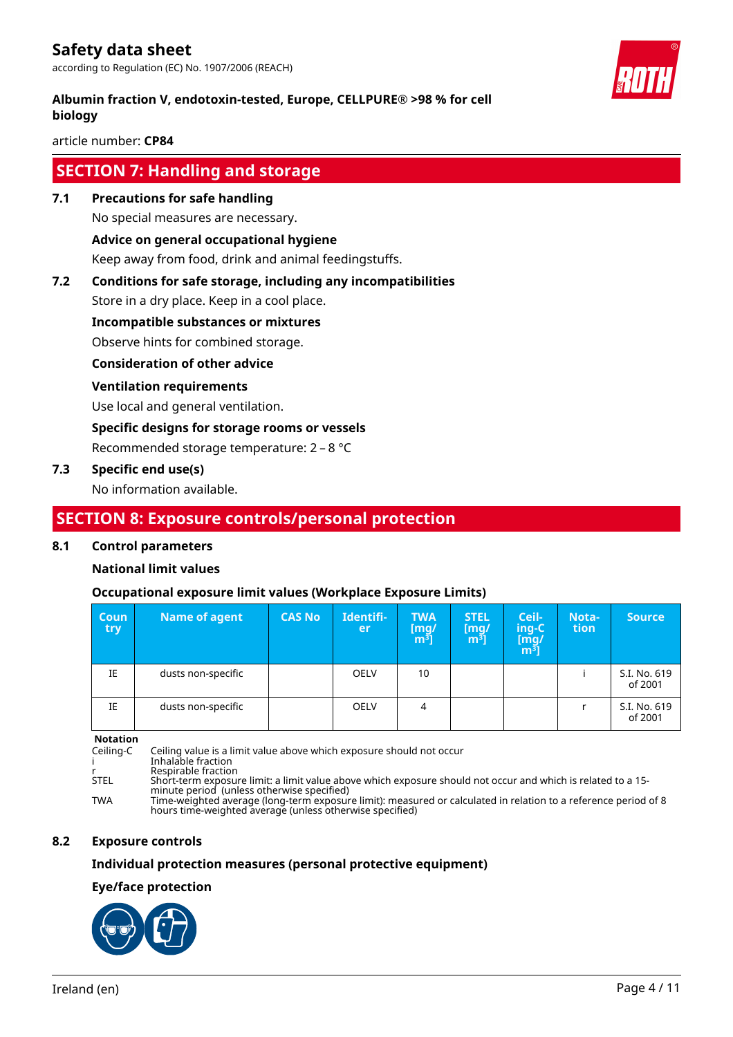according to Regulation (EC) No. 1907/2006 (REACH)

# **Albumin fraction V, endotoxin-tested, Europe, CELLPURE® >98 % for cell biology**

article number: **CP84**

# **SECTION 7: Handling and storage**

**7.1 Precautions for safe handling**

No special measures are necessary.

# **Advice on general occupational hygiene**

Keep away from food, drink and animal feedingstuffs.

# **7.2 Conditions for safe storage, including any incompatibilities**

Store in a dry place. Keep in a cool place.

# **Incompatible substances or mixtures**

Observe hints for combined storage.

# **Consideration of other advice**

# **Ventilation requirements**

Use local and general ventilation.

# **Specific designs for storage rooms or vessels**

Recommended storage temperature: 2 – 8 °C

# **7.3 Specific end use(s)**

No information available.

# **SECTION 8: Exposure controls/personal protection**

# **8.1 Control parameters**

# **National limit values**

# **Occupational exposure limit values (Workplace Exposure Limits)**

| Coun<br>try | Name of agent      | <b>CAS No</b> | Identifi-<br>er | <b>TWA</b><br>[mg/<br>m <sup>3</sup> | <b>STEL</b><br>[mg]<br>m <sup>3</sup> | Ceil-<br>ing-C<br>[mg/<br>m <sup>3</sup> ] | Nota-<br>tion | <b>Source</b>           |
|-------------|--------------------|---------------|-----------------|--------------------------------------|---------------------------------------|--------------------------------------------|---------------|-------------------------|
| IE          | dusts non-specific |               | <b>OELV</b>     | 10                                   |                                       |                                            |               | S.I. No. 619<br>of 2001 |
| IE          | dusts non-specific |               | <b>OELV</b>     | 4                                    |                                       |                                            |               | S.I. No. 619<br>of 2001 |

**Notation**

Ceiling-C Ceiling value is a limit value above which exposure should not occur

i Inhalable fraction

r Respirable fraction<br>STEL Short-term exposur STEL Short-term exposure limit: a limit value above which exposure should not occur and which is related to a 15 minute period (unless otherwise specified)

TWA Time-weighted average (long-term exposure limit): measured or calculated in relation to a reference period of 8 hours time-weighted average (unless otherwise specified)

# **8.2 Exposure controls**

# **Individual protection measures (personal protective equipment)**

# **Eye/face protection**



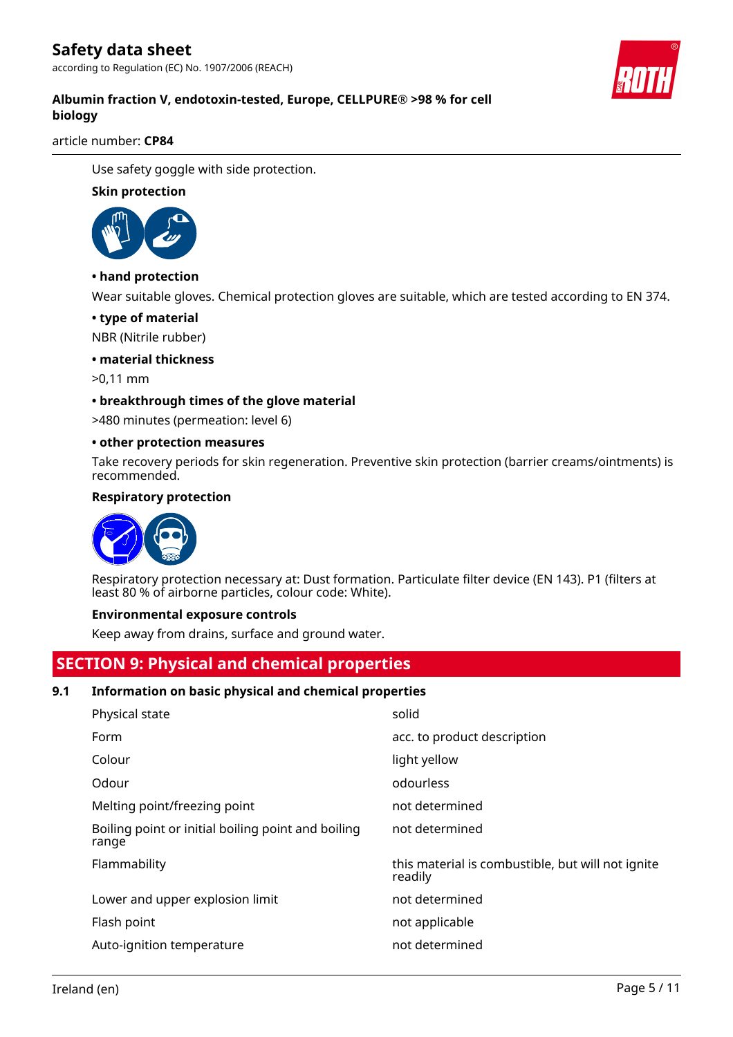according to Regulation (EC) No. 1907/2006 (REACH)



# **Albumin fraction V, endotoxin-tested, Europe, CELLPURE® >98 % for cell biology**

article number: **CP84**

Use safety goggle with side protection.

# **Skin protection**



# **• hand protection**

Wear suitable gloves. Chemical protection gloves are suitable, which are tested according to EN 374.

# **• type of material**

NBR (Nitrile rubber)

# **• material thickness**

>0,11 mm

# **• breakthrough times of the glove material**

>480 minutes (permeation: level 6)

# **• other protection measures**

Take recovery periods for skin regeneration. Preventive skin protection (barrier creams/ointments) is recommended.

# **Respiratory protection**



Respiratory protection necessary at: Dust formation. Particulate filter device (EN 143). P1 (filters at least 80 % of airborne particles, colour code: White).

# **Environmental exposure controls**

Keep away from drains, surface and ground water.

# **SECTION 9: Physical and chemical properties**

# **9.1 Information on basic physical and chemical properties**

| Physical state                                              | solid                                                        |
|-------------------------------------------------------------|--------------------------------------------------------------|
| Form                                                        | acc. to product description                                  |
| Colour                                                      | light yellow                                                 |
| Odour                                                       | odourless                                                    |
| Melting point/freezing point                                | not determined                                               |
| Boiling point or initial boiling point and boiling<br>range | not determined                                               |
| Flammability                                                | this material is combustible, but will not ignite<br>readily |
| Lower and upper explosion limit                             | not determined                                               |
| Flash point                                                 | not applicable                                               |
| Auto-ignition temperature                                   | not determined                                               |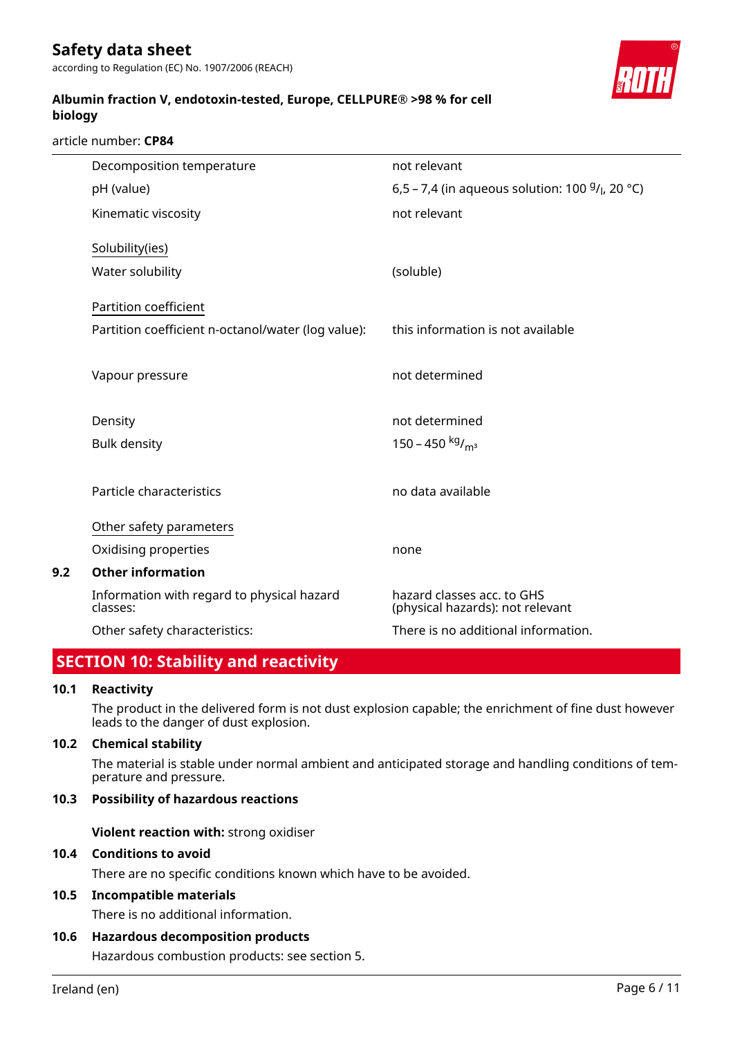according to Regulation (EC) No. 1907/2006 (REACH)

# **Albumin fraction V, endotoxin-tested, Europe, CELLPURE® >98 % for cell biology**

article number: **CP84**

| Decomposition temperature                                                   | not relevant                                                   |
|-----------------------------------------------------------------------------|----------------------------------------------------------------|
| pH (value)                                                                  | 6,5 – 7,4 (in aqueous solution: 100 $9/1$ , 20 °C)             |
| Kinematic viscosity                                                         | not relevant                                                   |
| Solubility(ies)                                                             |                                                                |
| Water solubility                                                            | (soluble)                                                      |
| Partition coefficient<br>Partition coefficient n-octanol/water (log value): | this information is not available                              |
|                                                                             |                                                                |
| Vapour pressure                                                             | not determined                                                 |
| Density                                                                     | not determined                                                 |
| <b>Bulk density</b>                                                         | 150 – 450 kg/m <sup>3</sup>                                    |
|                                                                             |                                                                |
| Particle characteristics                                                    | no data available                                              |
| Other safety parameters                                                     |                                                                |
| Oxidising properties                                                        | none                                                           |
| <b>Other information</b>                                                    |                                                                |
| Information with regard to physical hazard<br>classes:                      | hazard classes acc. to GHS<br>(physical hazards): not relevant |
| Other safety characteristics:                                               | There is no additional information.                            |

# **SECTION 10: Stability and reactivity**

# **10.1 Reactivity**

**9.2** 

The product in the delivered form is not dust explosion capable; the enrichment of fine dust however leads to the danger of dust explosion.

# **10.2 Chemical stability**

The material is stable under normal ambient and anticipated storage and handling conditions of temperature and pressure.

# **10.3 Possibility of hazardous reactions**

**Violent reaction with:** strong oxidiser

# **10.4 Conditions to avoid**

There are no specific conditions known which have to be avoided.

# **10.5 Incompatible materials**

There is no additional information.

# **10.6 Hazardous decomposition products**

Hazardous combustion products: see section 5.

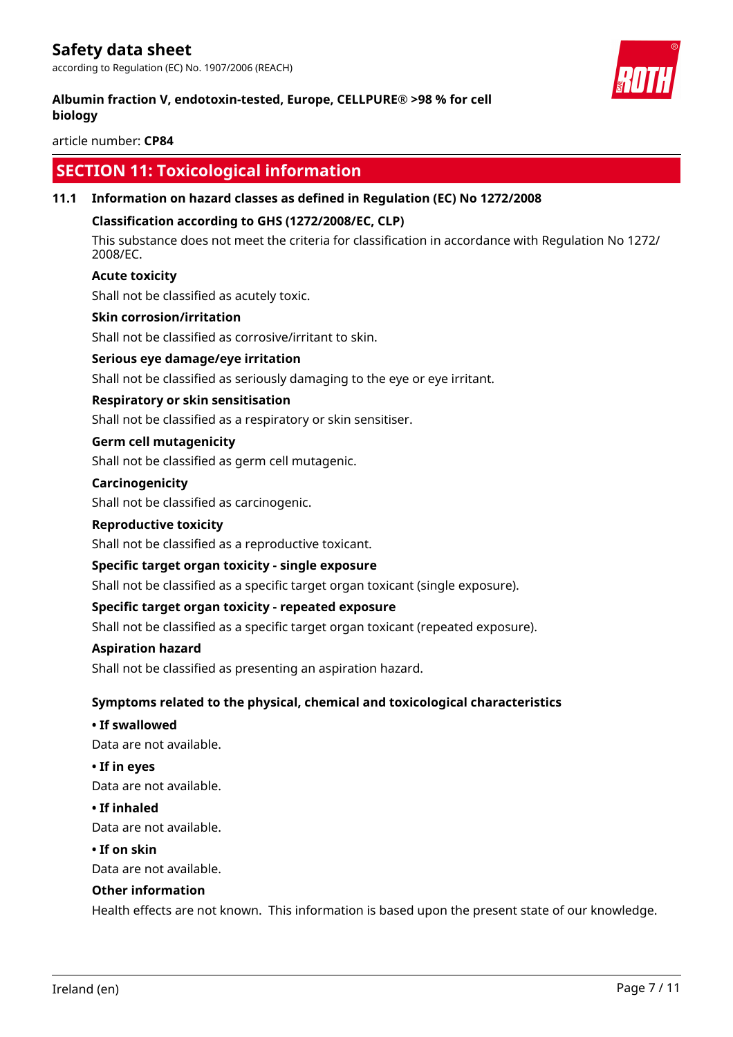according to Regulation (EC) No. 1907/2006 (REACH)

# **Albumin fraction V, endotoxin-tested, Europe, CELLPURE® >98 % for cell biology**

article number: **CP84**

# **SECTION 11: Toxicological information**

# **11.1 Information on hazard classes as defined in Regulation (EC) No 1272/2008**

# **Classification according to GHS (1272/2008/EC, CLP)**

This substance does not meet the criteria for classification in accordance with Regulation No 1272/ 2008/EC.

# **Acute toxicity**

Shall not be classified as acutely toxic.

#### **Skin corrosion/irritation**

Shall not be classified as corrosive/irritant to skin.

# **Serious eye damage/eye irritation**

Shall not be classified as seriously damaging to the eye or eye irritant.

# **Respiratory or skin sensitisation**

Shall not be classified as a respiratory or skin sensitiser.

#### **Germ cell mutagenicity**

Shall not be classified as germ cell mutagenic.

#### **Carcinogenicity**

Shall not be classified as carcinogenic.

#### **Reproductive toxicity**

Shall not be classified as a reproductive toxicant.

# **Specific target organ toxicity - single exposure**

Shall not be classified as a specific target organ toxicant (single exposure).

# **Specific target organ toxicity - repeated exposure**

Shall not be classified as a specific target organ toxicant (repeated exposure).

#### **Aspiration hazard**

Shall not be classified as presenting an aspiration hazard.

# **Symptoms related to the physical, chemical and toxicological characteristics**

#### **• If swallowed**

Data are not available.

**• If in eyes**

Data are not available.

#### **• If inhaled**

Data are not available.

#### **• If on skin**

Data are not available.

# **Other information**

Health effects are not known. This information is based upon the present state of our knowledge.

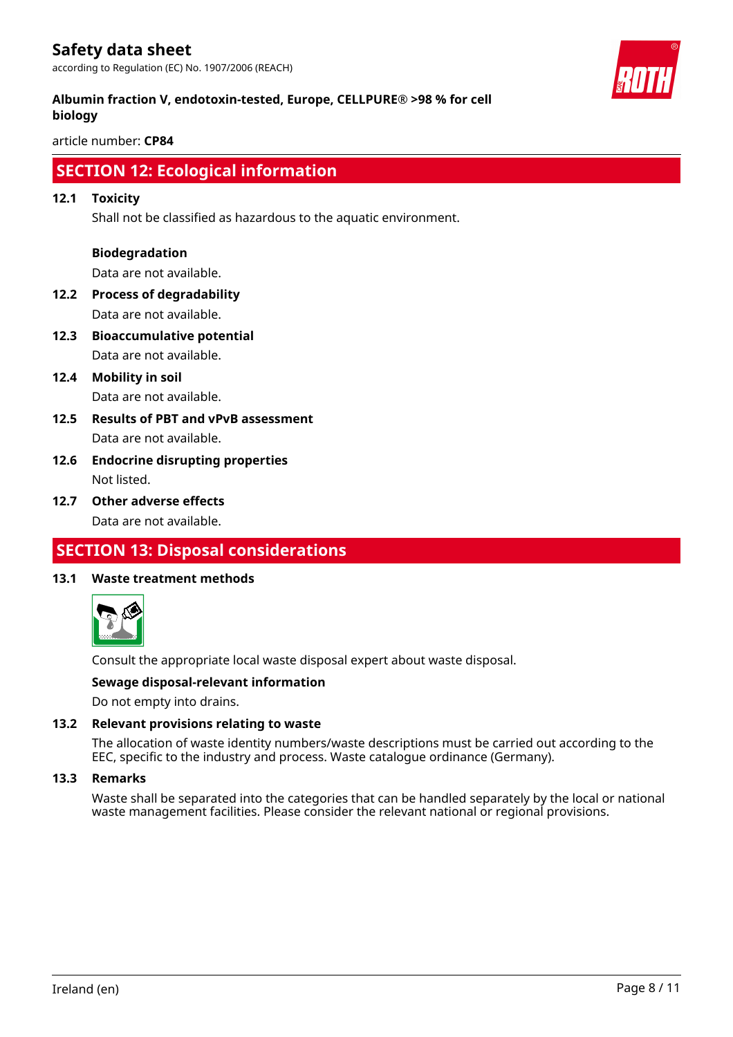according to Regulation (EC) No. 1907/2006 (REACH)



# **Albumin fraction V, endotoxin-tested, Europe, CELLPURE® >98 % for cell biology**

article number: **CP84**

# **SECTION 12: Ecological information**

# **12.1 Toxicity**

Shall not be classified as hazardous to the aquatic environment.

# **Biodegradation**

Data are not available.

- **12.2 Process of degradability** Data are not available.
- **12.3 Bioaccumulative potential** Data are not available.
- **12.4 Mobility in soil** Data are not available.
- **12.5 Results of PBT and vPvB assessment** Data are not available.
- **12.6 Endocrine disrupting properties** Not listed.
- **12.7 Other adverse effects** Data are not available.

# **SECTION 13: Disposal considerations**

# **13.1 Waste treatment methods**



Consult the appropriate local waste disposal expert about waste disposal.

# **Sewage disposal-relevant information**

Do not empty into drains.

# **13.2 Relevant provisions relating to waste**

The allocation of waste identity numbers/waste descriptions must be carried out according to the EEC, specific to the industry and process. Waste catalogue ordinance (Germany).

#### **13.3 Remarks**

Waste shall be separated into the categories that can be handled separately by the local or national waste management facilities. Please consider the relevant national or regional provisions.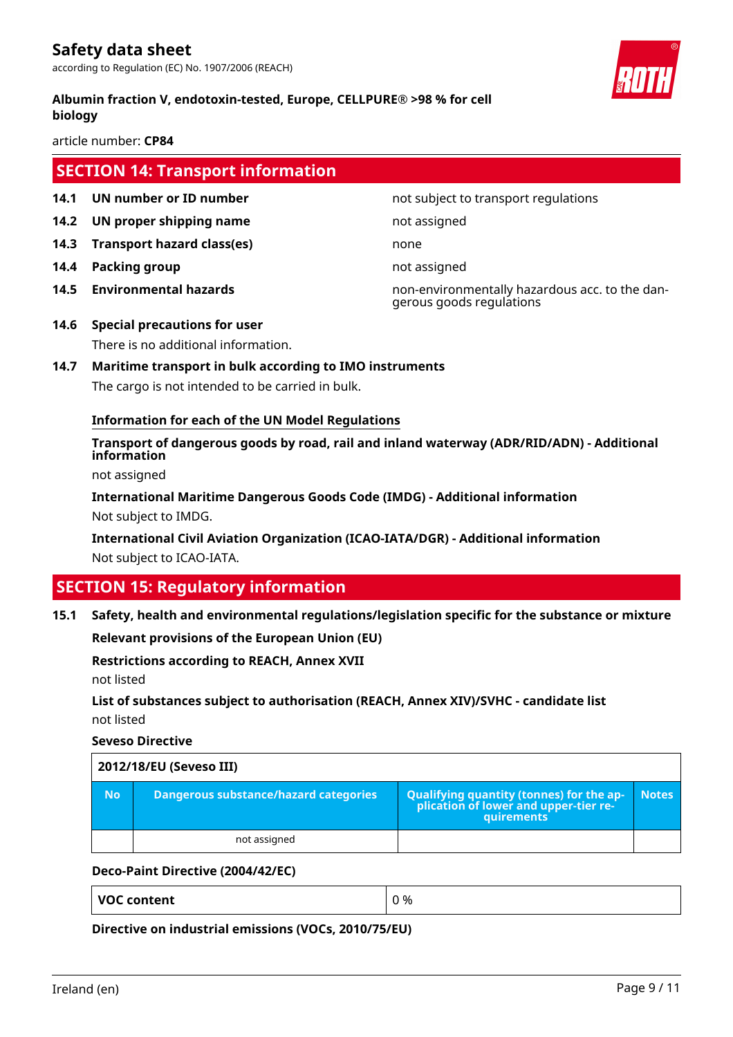according to Regulation (EC) No. 1907/2006 (REACH)

# **Albumin fraction V, endotoxin-tested, Europe, CELLPURE® >98 % for cell biology**

article number: **CP84**

# **SECTION 14: Transport information**

- **14.1 UN number or ID number 12.1 14.1 UN number not subject to transport regulations**
- **14.2 UN proper shipping name** not assigned
- **14.3 Transport hazard class(es)** none
- **14.4 Packing group not assigned**
- 

**14.5 Environmental hazards** non-environmentally hazardous acc. to the dangerous goods regulations

- **14.6 Special precautions for user** There is no additional information.
- **14.7 Maritime transport in bulk according to IMO instruments** The cargo is not intended to be carried in bulk.

# **Information for each of the UN Model Regulations**

**Transport of dangerous goods by road, rail and inland waterway (ADR/RID/ADN) - Additional information**

not assigned

**International Maritime Dangerous Goods Code (IMDG) - Additional information** Not subject to IMDG.

**International Civil Aviation Organization (ICAO-IATA/DGR) - Additional information** Not subject to ICAO-IATA.

# **SECTION 15: Regulatory information**

**15.1 Safety, health and environmental regulations/legislation specific for the substance or mixture**

**Relevant provisions of the European Union (EU)**

# **Restrictions according to REACH, Annex XVII**

not listed

**List of substances subject to authorisation (REACH, Annex XIV)/SVHC - candidate list** not listed

**Seveso Directive**

| 2012/18/EU (Seveso III) |                                       |                                                                                            |              |  |
|-------------------------|---------------------------------------|--------------------------------------------------------------------------------------------|--------------|--|
| 'No.                    | Dangerous substance/hazard categories | Qualifying quantity (tonnes) for the application of lower and upper-tier re-<br>quirements | <b>Notes</b> |  |
|                         | not assigned                          |                                                                                            |              |  |

# **Deco-Paint Directive (2004/42/EC)**

**VOC content**  $\begin{array}{ccc} \n\sqrt{0} & \sqrt{0} & \sqrt{0} & \sqrt{0} & \sqrt{0} & \sqrt{0} & \sqrt{0} & \sqrt{0} & \sqrt{0} & \sqrt{0} & \sqrt{0} & \sqrt{0} & \sqrt{0} & \sqrt{0} & \sqrt{0} & \sqrt{0} & \sqrt{0} & \sqrt{0} & \sqrt{0} & \sqrt{0} & \sqrt{0} & \sqrt{0} & \sqrt{0} & \sqrt{0} & \sqrt{0} & \sqrt{0} & \sqrt{0} & \sqrt{0} & \sqrt{0} & \sqrt{0} & \sqrt{0} & \sqrt{0} & \sqrt{0} &$ 

**Directive on industrial emissions (VOCs, 2010/75/EU)**

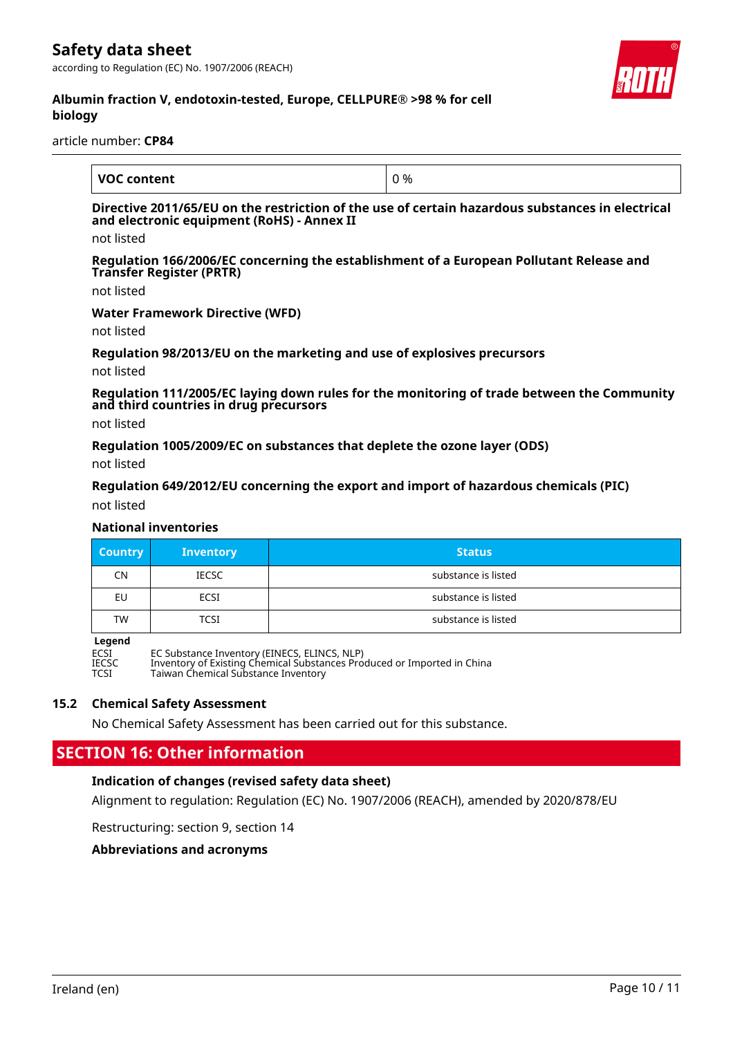according to Regulation (EC) No. 1907/2006 (REACH)



# **Albumin fraction V, endotoxin-tested, Europe, CELLPURE® >98 % for cell biology**

article number: **CP84**

| <b>VOC content</b> | %<br>Ð |
|--------------------|--------|

# **Directive 2011/65/EU on the restriction of the use of certain hazardous substances in electrical and electronic equipment (RoHS) - Annex II**

not listed

**Regulation 166/2006/EC concerning the establishment of a European Pollutant Release and Transfer Register (PRTR)**

not listed

#### **Water Framework Directive (WFD)**

not listed

#### **Regulation 98/2013/EU on the marketing and use of explosives precursors**

not listed

**Regulation 111/2005/EC laying down rules for the monitoring of trade between the Community and third countries in drug precursors**

not listed

**Regulation 1005/2009/EC on substances that deplete the ozone layer (ODS)**

not listed

#### **Regulation 649/2012/EU concerning the export and import of hazardous chemicals (PIC)**

not listed

#### **National inventories**

| <b>Country</b> | <b>Inventory</b> | <b>Status</b>       |
|----------------|------------------|---------------------|
| CN             | <b>IECSC</b>     | substance is listed |
| EU             | ECSI             | substance is listed |
| <b>TW</b>      | TCSI             | substance is listed |

**Legend**<br>ECSI<br>IECSC ECSI EC Substance Inventory (EINECS, ELINCS, NLP) IECSC Inventory of Existing Chemical Substances Produced or Imported in China TCSI Taiwan Chemical Substance Inventory

# **15.2 Chemical Safety Assessment**

No Chemical Safety Assessment has been carried out for this substance.

# **SECTION 16: Other information**

# **Indication of changes (revised safety data sheet)**

Alignment to regulation: Regulation (EC) No. 1907/2006 (REACH), amended by 2020/878/EU

Restructuring: section 9, section 14

**Abbreviations and acronyms**